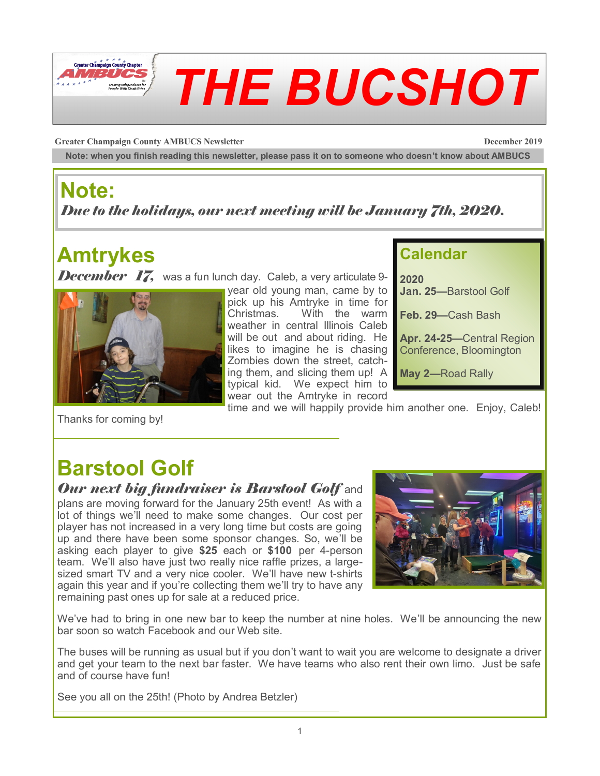

**Greater Champaign County AMBUCS Newsletter December 2019**

**Note: when you finish reading this newsletter, please pass it on to someone who doesn't know about AMBUCS**

### **Note:**

*Due to the holidays, our next meeting will be January 7th, 2020.*

# **Amtrykes**

**December 17,** was a fun lunch day. Caleb, a very articulate 9-



Thanks for coming by!

year old young man, came by to pick up his Amtryke in time for Christmas. With the warm weather in central Illinois Caleb will be out and about riding. He likes to imagine he is chasing Zombies down the street, catching them, and slicing them up! A typical kid. We expect him to wear out the Amtryke in record

### **Calendar**

**2020 Jan. 25—**Barstool Golf

**Feb. 29—**Cash Bash

**Apr. 24-25—**Central Region Conference, Bloomington

**May 2—**Road Rally

time and we will happily provide him another one. Enjoy, Caleb!

### **Barstool Golf**

#### *Our next big fundraiser is Barstool Golf* and

plans are moving forward for the January 25th event! As with a lot of things we'll need to make some changes. Our cost per player has not increased in a very long time but costs are going up and there have been some sponsor changes. So, we'll be asking each player to give **\$25** each or **\$100** per 4-person team. We'll also have just two really nice raffle prizes, a largesized smart TV and a very nice cooler. We'll have new t-shirts again this year and if you're collecting them we'll try to have any remaining past ones up for sale at a reduced price.



We've had to bring in one new bar to keep the number at nine holes. We'll be announcing the new bar soon so watch Facebook and our Web site.

The buses will be running as usual but if you don't want to wait you are welcome to designate a driver and get your team to the next bar faster. We have teams who also rent their own limo. Just be safe and of course have fun!

See you all on the 25th! (Photo by Andrea Betzler)